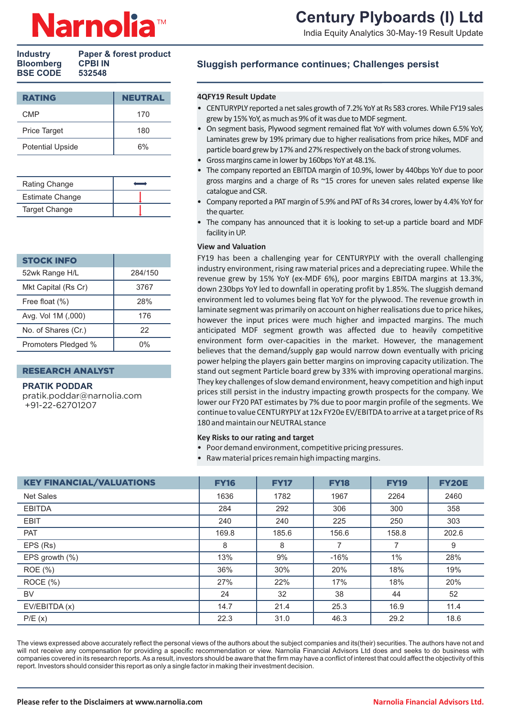# **Century Plyboards (I) Ltd**

India Equity Analytics 30-May-19 Result Update

| Paper & forest product |
|------------------------|
| <b>CPBI IN</b>         |
| 532548                 |
|                        |

| <b>NEUTRAL</b> |
|----------------|
| 170            |
| 180            |
| 6%             |
|                |

| Rating Change          |  |
|------------------------|--|
| <b>Estimate Change</b> |  |
| <b>Target Change</b>   |  |

| STOCK INFO          |            |
|---------------------|------------|
| 52wk Range H/L      | 284/150    |
| Mkt Capital (Rs Cr) | 3767       |
| Free float (%)      | <b>28%</b> |
| Avg. Vol 1M (,000)  | 176        |
| No. of Shares (Cr.) | 22         |
| Promoters Pledged % | በ%         |

### RESEARCH ANALYST

### **PRATIK PODDAR**

pratik.poddar@narnolia.com +91-22-62701207

## **Sluggish performance continues; Challenges persist**

### **4QFY19 Result Update**

- CENTURYPLY reported a net sales growth of 7.2% YoY at Rs 583 crores. While FY19 sales grew by 15% YoY, as much as 9% of it was due to MDF segment.
- On segment basis, Plywood segment remained flat YoY with volumes down 6.5% YoY, Laminates grew by 19% primary due to higher realisations from price hikes, MDF and particle board grew by 17% and 27% respectively on the back of strong volumes.
- Gross margins came in lower by 160bps YoY at 48.1%.
- The company reported an EBITDA margin of 10.9%, lower by 440bps YoY due to poor gross margins and a charge of Rs ~15 crores for uneven sales related expense like catalogue and CSR.
- Company reported a PAT margin of 5.9% and PAT of Rs 34 crores, lower by 4.4% YoY for the quarter.
- The company has announced that it is looking to set-up a particle board and MDF facility in UP.

### **View and Valuation**

FY19 has been a challenging year for CENTURYPLY with the overall challenging industry environment, rising raw material prices and a depreciating rupee. While the revenue grew by 15% YoY (ex-MDF 6%), poor margins EBITDA margins at 13.3%, down 230bps YoY led to downfall in operating profit by 1.85%. The sluggish demand environment led to volumes being flat YoY for the plywood. The revenue growth in laminate segment was primarily on account on higher realisations due to price hikes, however the input prices were much higher and impacted margins. The much anticipated MDF segment growth was affected due to heavily competitive environment form over-capacities in the market. However, the management believes that the demand/supply gap would narrow down eventually with pricing power helping the players gain better margins on improving capacity utilization. The stand out segment Particle board grew by 33% with improving operational margins. They key challenges of slow demand environment, heavy competition and high input prices still persist in the industry impacting growth prospects for the company. We lower our FY20 PAT estimates by 7% due to poor margin profile of the segments. We continue to value CENTURYPLY at 12x FY20e EV/EBITDA to arrive at a target price of Rs 180 and maintain our NEUTRAL stance

### **Key Risks to our rating and target**

- Poor demand environment, competitive pricing pressures.
- Raw material prices remain high impacting margins.

| <b>KEY FINANCIAL/VALUATIONS</b> | <b>FY16</b> | <b>FY17</b> | <b>FY18</b> | <b>FY19</b> | <b>FY20E</b> |
|---------------------------------|-------------|-------------|-------------|-------------|--------------|
| <b>Net Sales</b>                | 1636        | 1782        | 1967        | 2264        | 2460         |
| <b>EBITDA</b>                   | 284         | 292         | 306         | 300         | 358          |
| <b>EBIT</b>                     | 240         | 240         | 225         | 250         | 303          |
| <b>PAT</b>                      | 169.8       | 185.6       | 156.6       | 158.8       | 202.6        |
| EPS (Rs)                        | 8           | 8           | 7           | 7           | 9            |
| EPS growth $(\%)$               | 13%         | 9%          | $-16%$      | 1%          | 28%          |
| ROE (%)                         | 36%         | 30%         | 20%         | 18%         | 19%          |
| ROCE (%)                        | 27%         | 22%         | 17%         | 18%         | 20%          |
| <b>BV</b>                       | 24          | 32          | 38          | 44          | 52           |
| EV/EBITDA(x)                    | 14.7        | 21.4        | 25.3        | 16.9        | 11.4         |
| P/E(x)                          | 22.3        | 31.0        | 46.3        | 29.2        | 18.6         |

The views expressed above accurately reflect the personal views of the authors about the subject companies and its(their) securities. The authors have not and will not receive any compensation for providing a specific recommendation or view. Narnolia Financial Advisors Ltd does and seeks to do business with companies covered in its research reports. As a result, investors should be aware that the firm may have a conflict of interest that could affect the objectivity of this report. Investors should consider this report as only a single factor in making their investment decision.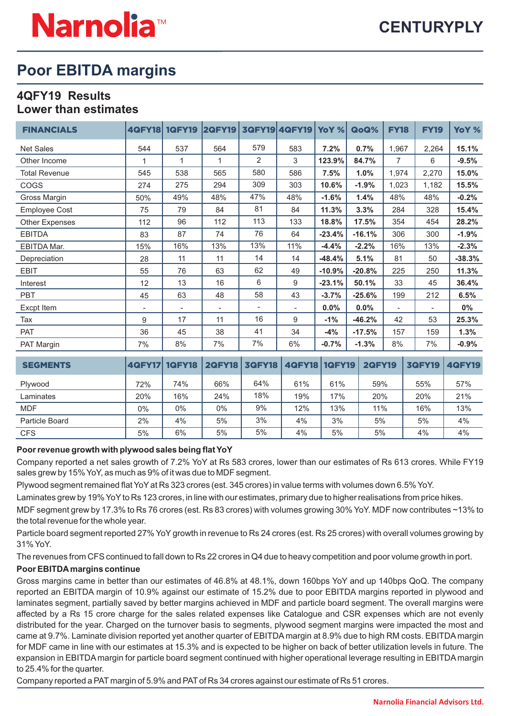## **Poor EBITDA margins**

## **4QFY19 Results Lower than estimates**

| <b>FINANCIALS</b>     | <b>4QFY18</b>            | <b>1QFY19</b>            | <b>2QFY19</b>            |                          | 3QFY19 4QFY19 | YoY %         | QoQ%          | <b>FY18</b>              | <b>FY19</b>   | YoY %         |
|-----------------------|--------------------------|--------------------------|--------------------------|--------------------------|---------------|---------------|---------------|--------------------------|---------------|---------------|
| <b>Net Sales</b>      | 544                      | 537                      | 564                      | 579                      | 583           | 7.2%          | 0.7%          | 1,967                    | 2,264         | 15.1%         |
| Other Income          | 1                        | 1                        | 1                        | 2                        | 3             | 123.9%        | 84.7%         | $\overline{7}$           | 6             | $-9.5%$       |
| <b>Total Revenue</b>  | 545                      | 538                      | 565                      | 580                      | 586           | 7.5%          | 1.0%          | 1,974                    | 2,270         | 15.0%         |
| <b>COGS</b>           | 274                      | 275                      | 294                      | 309                      | 303           | 10.6%         | $-1.9%$       | 1,023                    | 1,182         | 15.5%         |
| Gross Margin          | 50%                      | 49%                      | 48%                      | 47%                      | 48%           | $-1.6%$       | 1.4%          | 48%                      | 48%           | $-0.2%$       |
| <b>Employee Cost</b>  | 75                       | 79                       | 84                       | 81                       | 84            | 11.3%         | 3.3%          | 284                      | 328           | 15.4%         |
| <b>Other Expenses</b> | 112                      | 96                       | 112                      | 113                      | 133           | 18.8%         | 17.5%         | 354                      | 454           | 28.2%         |
| <b>EBITDA</b>         | 83                       | 87                       | 74                       | 76                       | 64            | $-23.4%$      | $-16.1%$      | 306                      | 300           | $-1.9%$       |
| <b>EBITDA Mar.</b>    | 15%                      | 16%                      | 13%                      | 13%                      | 11%           | $-4.4%$       | $-2.2%$       | 16%                      | 13%           | $-2.3%$       |
| Depreciation          | 28                       | 11                       | 11                       | 14                       | 14            | $-48.4%$      | 5.1%          | 81                       | 50            | $-38.3%$      |
| <b>EBIT</b>           | 55                       | 76                       | 63                       | 62                       | 49            | $-10.9%$      | $-20.8%$      | 225                      | 250           | 11.3%         |
| Interest              | 12                       | 13                       | 16                       | 6                        | 9             | $-23.1%$      | 50.1%         | 33                       | 45            | 36.4%         |
| <b>PBT</b>            | 45                       | 63                       | 48                       | 58                       | 43            | $-3.7%$       | $-25.6%$      | 199                      | 212           | 6.5%          |
| Excpt Item            | $\overline{\phantom{a}}$ | $\overline{\phantom{a}}$ | $\overline{\phantom{a}}$ | $\overline{\phantom{0}}$ |               | 0.0%          | $0.0\%$       | $\overline{\phantom{0}}$ |               | $0\%$         |
| Tax                   | 9                        | 17                       | 11                       | 16                       | 9             | $-1%$         | $-46.2%$      | 42                       | 53            | 25.3%         |
| <b>PAT</b>            | 36                       | 45                       | 38                       | 41                       | 34            | $-4%$         | $-17.5%$      | 157                      | 159           | 1.3%          |
| PAT Margin            | 7%                       | 8%                       | 7%                       | 7%                       | 6%            | $-0.7\%$      | $-1.3%$       | 8%                       | 7%            | $-0.9%$       |
| <b>SEGMENTS</b>       | <b>4QFY17</b>            | <b>1QFY18</b>            | <b>2QFY18</b>            | <b>3QFY18</b>            | <b>4QFY18</b> | <b>1QFY19</b> | <b>2QFY19</b> |                          | <b>3QFY19</b> | <b>4QFY19</b> |

| .              | .     |     |       |     |     |     | .   |     | --  |
|----------------|-------|-----|-------|-----|-----|-----|-----|-----|-----|
| Plywood        | 72%   | 74% | 66%   | 64% | 61% | 61% | 59% | 55% | 57% |
| Laminates      | 20%   | 16% | 24%   | 18% | 19% | 17% | 20% | 20% | 21% |
| <b>MDF</b>     | $0\%$ | 0%  | $0\%$ | 9%  | 12% | 13% | 11% | 16% | 13% |
| Particle Board | 2%    | 4%  | 5%    | 3%  | 4%  | 3%  | 5%  | 5%  | 4%  |
| <b>CFS</b>     | 5%    | 6%  | 5%    | 5%  | 4%  | 5%  | 5%  | 4%  | 4%  |

## **Poor revenue growth with plywood sales being flat YoY**

Company reported a net sales growth of 7.2% YoY at Rs 583 crores, lower than our estimates of Rs 613 crores. While FY19 sales grew by 15% YoY, as much as 9% of it was due to MDF segment.

Plywood segment remained flat YoY at Rs 323 crores (est. 345 crores) in value terms with volumes down 6.5% YoY.

Laminates grew by 19% YoYto Rs 123 crores, in line with our estimates, primary due to higher realisations from price hikes.

MDF segment grew by 17.3% to Rs 76 crores (est. Rs 83 crores) with volumes growing 30% YoY. MDF now contributes ~13% to the total revenue for the whole year.

Particle board segment reported 27% YoY growth in revenue to Rs 24 crores (est. Rs 25 crores) with overall volumes growing by 31% YoY.

The revenues from CFS continued to fall down to Rs 22 crores in Q4 due to heavy competition and poor volume growth in port.

## **Poor EBITDAmargins continue**

Gross margins came in better than our estimates of 46.8% at 48.1%, down 160bps YoY and up 140bps QoQ. The company reported an EBITDA margin of 10.9% against our estimate of 15.2% due to poor EBITDA margins reported in plywood and laminates segment, partially saved by better margins achieved in MDF and particle board segment. The overall margins were affected by a Rs 15 crore charge for the sales related expenses like Catalogue and CSR expenses which are not evenly distributed for the year. Charged on the turnover basis to segments, plywood segment margins were impacted the most and came at 9.7%. Laminate division reported yet another quarter of EBITDA margin at 8.9% due to high RM costs. EBITDA margin for MDF came in line with our estimates at 15.3% and is expected to be higher on back of better utilization levels in future. The expansion in EBITDA margin for particle board segment continued with higher operational leverage resulting in EBITDA margin to 25.4% for the quarter.

Company reported a PAT margin of 5.9% and PATof Rs 34 crores against our estimate of Rs 51 crores.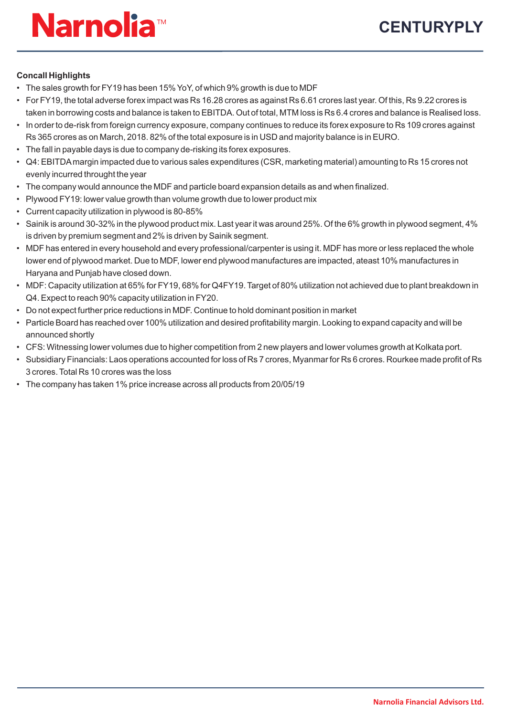## **Concall Highlights**

- The sales growth for FY19 has been 15% YoY, of which 9% growth is due to MDF
- For FY19, the total adverse forex impact was Rs 16.28 crores as against Rs 6.61 crores last year. Of this, Rs 9.22 crores is taken in borrowing costs and balance is taken to EBITDA. Out of total, MTM loss is Rs 6.4 crores and balance is Realised loss.
- In order to de-risk from foreign currency exposure, company continues to reduce its forex exposure to Rs 109 crores against Rs 365 crores as on March, 2018. 82% of the total exposure is in USD and majority balance is in EURO.
- The fall in payable days is due to company de-risking its forex exposures.
- Q4: EBITDAmargin impacted due to various sales expenditures (CSR, marketing material) amounting to Rs 15 crores not evenly incurred throught the year
- The company would announce the MDF and particle board expansion details as and when finalized.
- Plywood FY19: lower value growth than volume growth due to lower product mix
- Current capacity utilization in plywood is 80-85%
- Sainik is around 30-32% in the plywood product mix. Last year it was around 25%. Of the 6% growth in plywood segment, 4% is driven by premium segment and 2% is driven by Sainik segment.
- MDF has entered in every household and every professional/carpenter is using it. MDF has more or less replaced the whole lower end of plywood market. Due to MDF, lower end plywood manufactures are impacted, ateast 10% manufactures in Haryana and Punjab have closed down.
- MDF: Capacity utilization at 65% for FY19, 68% for Q4FY19. Target of 80% utilization not achieved due to plant breakdown in Q4. Expect to reach 90% capacity utilization in FY20.
- Do not expect further price reductions in MDF. Continue to hold dominant position in market
- Particle Board has reached over 100% utilization and desired profitability margin. Looking to expand capacity and will be announced shortly
- CFS: Witnessing lower volumes due to higher competition from 2 new players and lower volumes growth at Kolkata port.
- Subsidiary Financials: Laos operations accounted for loss of Rs 7 crores, Myanmar for Rs 6 crores. Rourkee made profit of Rs 3 crores. Total Rs 10 crores was the loss
- The company has taken 1% price increase across all products from 20/05/19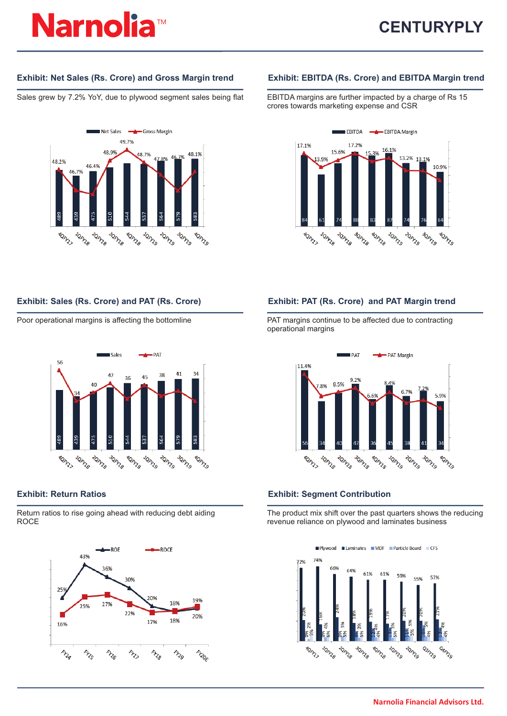Sales grew by 7.2% YoY, due to plywood segment sales being flat EBITDA margins are further impacted by a charge of Rs 15



## **Exhibit: Net Sales (Rs. Crore) and Gross Margin trend Exhibit: EBITDA (Rs. Crore) and EBITDA Margin trend**

crores towards marketing expense and CSR





Return ratios to rise going ahead with reducing debt aiding ROCE



## **Exhibit: Sales (Rs. Crore) and PAT (Rs. Crore) Exhibit: PAT (Rs. Crore) and PAT Margin trend**

Poor operational margins is affecting the bottomline PAT margins continue to be affected due to contracting operational margins



## **Exhibit: Return Ratios Exhibit: Segment Contribution**

The product mix shift over the past quarters shows the reducing revenue reliance on plywood and laminates business

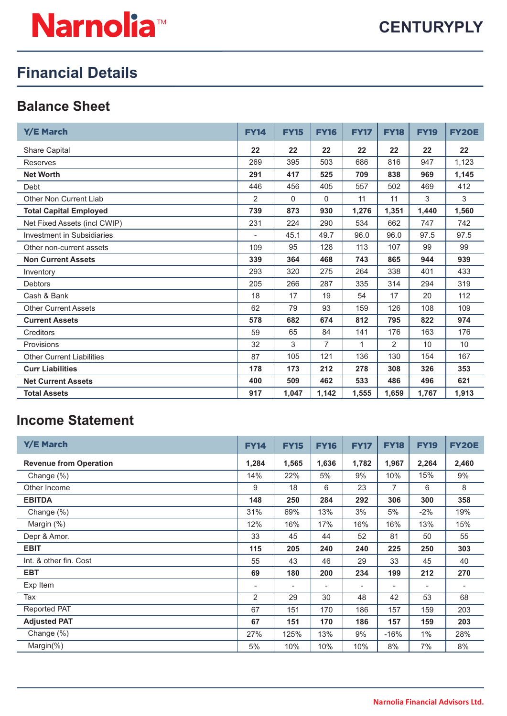# **Financial Details**

## **Balance Sheet**

| Y/E March                        | <b>FY14</b> | <b>FY15</b>  | <b>FY16</b>    | <b>FY17</b> | <b>FY18</b>    | <b>FY19</b> | <b>FY20E</b> |
|----------------------------------|-------------|--------------|----------------|-------------|----------------|-------------|--------------|
| <b>Share Capital</b>             | 22          | 22           | 22             | 22          | 22             | 22          | 22           |
| <b>Reserves</b>                  | 269         | 395          | 503            | 686         | 816            | 947         | 1,123        |
| <b>Net Worth</b>                 | 291         | 417          | 525            | 709         | 838            | 969         | 1,145        |
| Debt                             | 446         | 456          | 405            | 557         | 502            | 469         | 412          |
| <b>Other Non Current Liab</b>    | 2           | $\mathbf{0}$ | $\Omega$       | 11          | 11             | 3           | 3            |
| <b>Total Capital Employed</b>    | 739         | 873          | 930            | 1,276       | 1,351          | 1,440       | 1,560        |
| Net Fixed Assets (incl CWIP)     | 231         | 224          | 290            | 534         | 662            | 747         | 742          |
| Investment in Subsidiaries       |             | 45.1         | 49.7           | 96.0        | 96.0           | 97.5        | 97.5         |
| Other non-current assets         | 109         | 95           | 128            | 113         | 107            | 99          | 99           |
| <b>Non Current Assets</b>        | 339         | 364          | 468            | 743         | 865            | 944         | 939          |
| Inventory                        | 293         | 320          | 275            | 264         | 338            | 401         | 433          |
| <b>Debtors</b>                   | 205         | 266          | 287            | 335         | 314            | 294         | 319          |
| Cash & Bank                      | 18          | 17           | 19             | 54          | 17             | 20          | 112          |
| <b>Other Current Assets</b>      | 62          | 79           | 93             | 159         | 126            | 108         | 109          |
| <b>Current Assets</b>            | 578         | 682          | 674            | 812         | 795            | 822         | 974          |
| Creditors                        | 59          | 65           | 84             | 141         | 176            | 163         | 176          |
| Provisions                       | 32          | 3            | $\overline{7}$ | 1           | $\overline{2}$ | 10          | 10           |
| <b>Other Current Liabilities</b> | 87          | 105          | 121            | 136         | 130            | 154         | 167          |
| <b>Curr Liabilities</b>          | 178         | 173          | 212            | 278         | 308            | 326         | 353          |
| <b>Net Current Assets</b>        | 400         | 509          | 462            | 533         | 486            | 496         | 621          |
| <b>Total Assets</b>              | 917         | 1,047        | 1,142          | 1,555       | 1,659          | 1,767       | 1,913        |

## **Income Statement**

| <b>Y/E March</b>              | <b>FY14</b>              | <b>FY15</b>              | <b>FY16</b>              | <b>FY17</b>              | <b>FY18</b> | <b>FY19</b>              | <b>FY20E</b> |
|-------------------------------|--------------------------|--------------------------|--------------------------|--------------------------|-------------|--------------------------|--------------|
| <b>Revenue from Operation</b> | 1,284                    | 1,565                    | 1,636                    | 1,782                    | 1,967       | 2,264                    | 2,460        |
| Change (%)                    | 14%                      | 22%                      | 5%                       | 9%                       | 10%         | 15%                      | 9%           |
| Other Income                  | 9                        | 18                       | 6                        | 23                       | 7           | 6                        | 8            |
| <b>EBITDA</b>                 | 148                      | 250                      | 284                      | 292                      | 306         | 300                      | 358          |
| Change (%)                    | 31%                      | 69%                      | 13%                      | 3%                       | 5%          | $-2\%$                   | 19%          |
| Margin (%)                    | 12%                      | 16%                      | 17%                      | 16%                      | 16%         | 13%                      | 15%          |
| Depr & Amor.                  | 33                       | 45                       | 44                       | 52                       | 81          | 50                       | 55           |
| <b>EBIT</b>                   | 115                      | 205                      | 240                      | 240                      | 225         | 250                      | 303          |
| Int. & other fin. Cost        | 55                       | 43                       | 46                       | 29                       | 33          | 45                       | 40           |
| <b>EBT</b>                    | 69                       | 180                      | 200                      | 234                      | 199         | 212                      | 270          |
| Exp Item                      | $\overline{\phantom{a}}$ | $\overline{\phantom{a}}$ | $\overline{\phantom{a}}$ | $\overline{\phantom{0}}$ | ٠           | $\overline{\phantom{a}}$ |              |
| Tax                           | 2                        | 29                       | 30                       | 48                       | 42          | 53                       | 68           |
| <b>Reported PAT</b>           | 67                       | 151                      | 170                      | 186                      | 157         | 159                      | 203          |
| <b>Adjusted PAT</b>           | 67                       | 151                      | 170                      | 186                      | 157         | 159                      | 203          |
| Change (%)                    | 27%                      | 125%                     | 13%                      | 9%                       | $-16%$      | $1\%$                    | 28%          |
| Margin $(\%)$                 | 5%                       | 10%                      | 10%                      | 10%                      | 8%          | 7%                       | 8%           |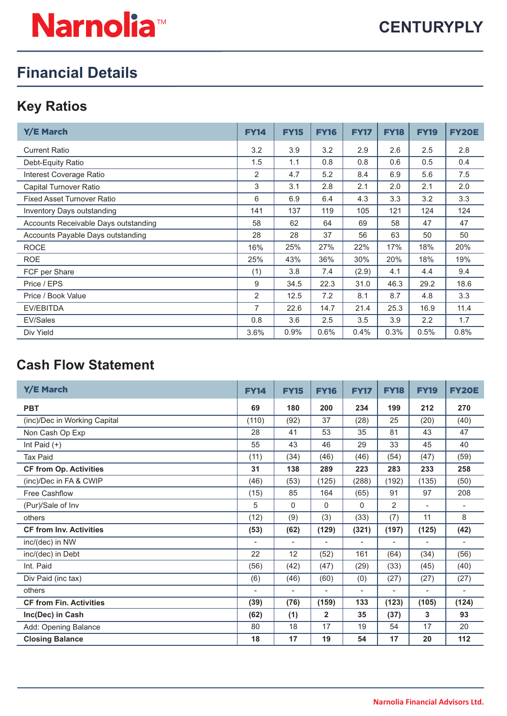# **Financial Details**

## **Key Ratios**

| <b>Y/E March</b>                     | <b>FY14</b>    | <b>FY15</b> | <b>FY16</b> | <b>FY17</b> | <b>FY18</b> | <b>FY19</b> | <b>FY20E</b> |
|--------------------------------------|----------------|-------------|-------------|-------------|-------------|-------------|--------------|
| <b>Current Ratio</b>                 | 3.2            | 3.9         | 3.2         | 2.9         | 2.6         | 2.5         | 2.8          |
| Debt-Equity Ratio                    | 1.5            | 1.1         | 0.8         | 0.8         | 0.6         | 0.5         | 0.4          |
| Interest Coverage Ratio              | $\overline{2}$ | 4.7         | 5.2         | 8.4         | 6.9         | 5.6         | 7.5          |
| Capital Turnover Ratio               | 3              | 3.1         | 2.8         | 2.1         | 2.0         | 2.1         | 2.0          |
| <b>Fixed Asset Turnover Ratio</b>    | 6              | 6.9         | 6.4         | 4.3         | 3.3         | 3.2         | 3.3          |
| Inventory Days outstanding           | 141            | 137         | 119         | 105         | 121         | 124         | 124          |
| Accounts Receivable Days outstanding | 58             | 62          | 64          | 69          | 58          | 47          | 47           |
| Accounts Payable Days outstanding    | 28             | 28          | 37          | 56          | 63          | 50          | 50           |
| <b>ROCE</b>                          | 16%            | 25%         | 27%         | 22%         | 17%         | 18%         | 20%          |
| <b>ROE</b>                           | 25%            | 43%         | 36%         | 30%         | 20%         | 18%         | 19%          |
| FCF per Share                        | (1)            | 3.8         | 7.4         | (2.9)       | 4.1         | 4.4         | 9.4          |
| Price / EPS                          | 9              | 34.5        | 22.3        | 31.0        | 46.3        | 29.2        | 18.6         |
| Price / Book Value                   | 2              | 12.5        | 7.2         | 8.1         | 8.7         | 4.8         | 3.3          |
| EV/EBITDA                            | 7              | 22.6        | 14.7        | 21.4        | 25.3        | 16.9        | 11.4         |
| EV/Sales                             | 0.8            | 3.6         | 2.5         | 3.5         | 3.9         | 2.2         | 1.7          |
| Div Yield                            | 3.6%           | 0.9%        | 0.6%        | 0.4%        | 0.3%        | 0.5%        | 0.8%         |

## **Cash Flow Statement**

| Y/E March                      | <b>FY14</b>              | <b>FY15</b>              | <b>FY16</b>              | <b>FY17</b>    | <b>FY18</b>              | <b>FY19</b>              | <b>FY20E</b>             |
|--------------------------------|--------------------------|--------------------------|--------------------------|----------------|--------------------------|--------------------------|--------------------------|
| <b>PBT</b>                     | 69                       | 180                      | 200                      | 234            | 199                      | 212                      | 270                      |
| (inc)/Dec in Working Capital   | (110)                    | (92)                     | 37                       | (28)           | 25                       | (20)                     | (40)                     |
| Non Cash Op Exp                | 28                       | 41                       | 53                       | 35             | 81                       | 43                       | 47                       |
| Int Paid $(+)$                 | 55                       | 43                       | 46                       | 29             | 33                       | 45                       | 40                       |
| <b>Tax Paid</b>                | (11)                     | (34)                     | (46)                     | (46)           | (54)                     | (47)                     | (59)                     |
| <b>CF from Op. Activities</b>  | 31                       | 138                      | 289                      | 223            | 283                      | 233                      | 258                      |
| (inc)/Dec in FA & CWIP         | (46)                     | (53)                     | (125)                    | (288)          | (192)                    | (135)                    | (50)                     |
| <b>Free Cashflow</b>           | (15)                     | 85                       | 164                      | (65)           | 91                       | 97                       | 208                      |
| (Pur)/Sale of Inv              | 5                        | 0                        | 0                        | $\Omega$       | 2                        | $\overline{\phantom{a}}$ |                          |
| others                         | (12)                     | (9)                      | (3)                      | (33)           | (7)                      | 11                       | 8                        |
| <b>CF from Inv. Activities</b> | (53)                     | (62)                     | (129)                    | (321)          | (197)                    | (125)                    | (42)                     |
| inc/(dec) in NW                | $\overline{\phantom{a}}$ | $\overline{\phantom{a}}$ | $\overline{\phantom{0}}$ | $\overline{a}$ | $\overline{\phantom{a}}$ | $\overline{\phantom{a}}$ | $\overline{\phantom{a}}$ |
| inc/(dec) in Debt              | 22                       | 12                       | (52)                     | 161            | (64)                     | (34)                     | (56)                     |
| Int. Paid                      | (56)                     | (42)                     | (47)                     | (29)           | (33)                     | (45)                     | (40)                     |
| Div Paid (inc tax)             | (6)                      | (46)                     | (60)                     | (0)            | (27)                     | (27)                     | (27)                     |
| others                         | $\overline{\phantom{a}}$ | $\overline{\phantom{a}}$ | $\overline{a}$           | $\overline{a}$ | $\overline{\phantom{a}}$ |                          |                          |
| <b>CF from Fin. Activities</b> | (39)                     | (76)                     | (159)                    | 133            | (123)                    | (105)                    | (124)                    |
| Inc(Dec) in Cash               | (62)                     | (1)                      | $\mathbf{2}$             | 35             | (37)                     | 3                        | 93                       |
| Add: Opening Balance           | 80                       | 18                       | 17                       | 19             | 54                       | 17                       | 20                       |
| <b>Closing Balance</b>         | 18                       | 17                       | 19                       | 54             | 17                       | 20                       | 112                      |